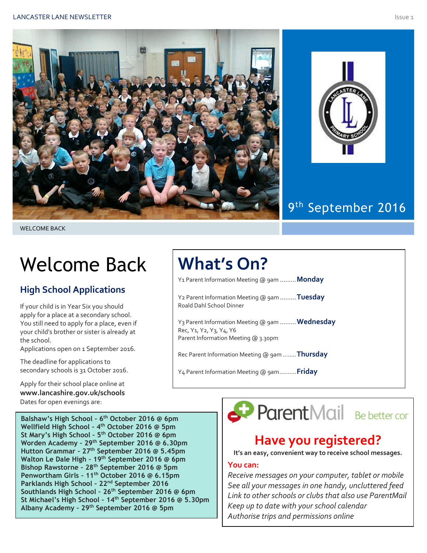



### 9<sup>th</sup> September 2016

# Welcome Back

#### **High School Applications**

If your child is in Year Six you should apply for a place at a secondary school. You still need to apply for a place, even if your child's brother or sister is already at the school.

Applications open on 1 September 2016.

The deadline for applications to secondary schools is 31 October 2016.

Apply for their school place online at **www.lancashire.gov.uk/schools** Dates for open evenings are:

**Balshaw's High School – 6 th October 2016 @ 6pm Wellfield High School – 4 th October 2016 @ 5pm St Mary's High School – 5 th October 2016 @ 6pm Worden Academy – 29th September 2016 @ 6.30pm Hutton Grammar – 27th September 2016 @ 5.45pm Walton Le Dale High – 19th September 2016 @ 6pm Bishop Rawstorne – 28th September 2016 @ 5pm Penwortham Girls – 11th October 2016 @ 6.15pm Parklands High School – 22nd September 2016 Southlands High School – 26th September 2016 @ 6pm St Michael's High School – 14th September 2016 @ 5.30pm Albany Academy – 29th September 2016 @ 5pm**

### **What's On?**

Y1 Parent Information Meeting @ 9am .........**Monday**

Y2 Parent Information Meeting @ 9am.........**Tuesday** Roald Dahl School Dinner

Y3 Parent Information Meeting @ 9am .........**Wednesday** Rec, Y1, Y2, Y3, Y4, Y6 Parent Information Meeting @ 3.30pm

Rec Parent Information Meeting @ 9am ........**Thursday**

Y4 Parent Information Meeting @ 9am..........**Friday**

ParentMail Be better cor

### **Have you registered?**

**It's an easy, convenient way to receive school messages.**

#### **You can:**

*Receive messages on your computer, tablet or mobile See all your messages in one handy, uncluttered feed Link to other schools or clubs that also use ParentMail Keep up to date with your school calendar Authorise trips and permissions online*